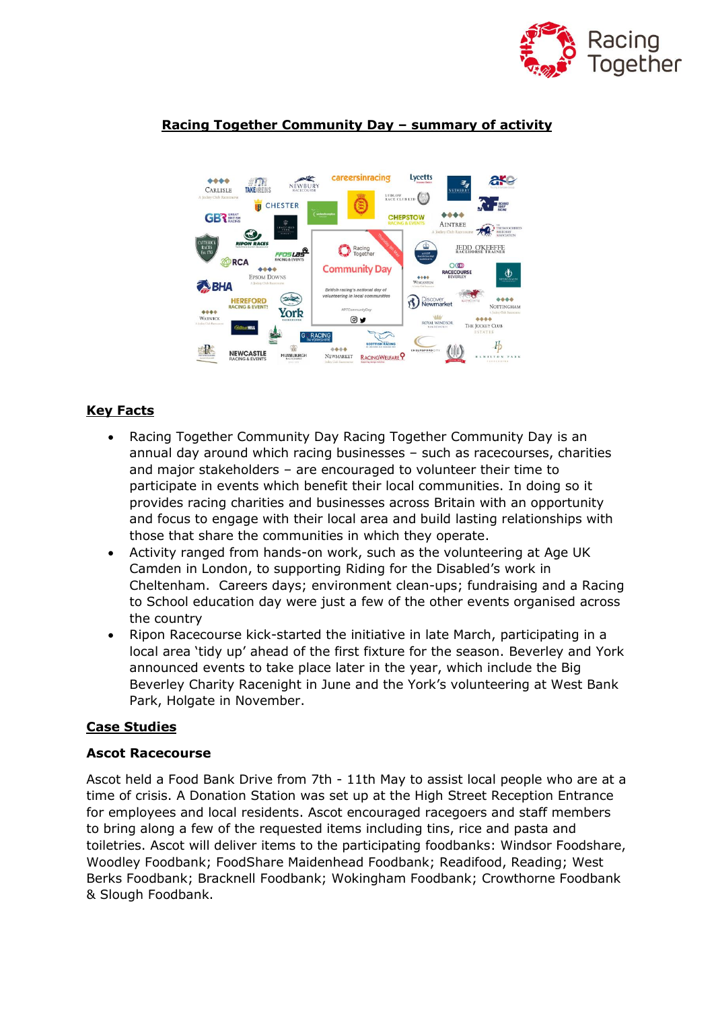





# **Key Facts**

- Racing Together Community Day Racing Together Community Day is an annual day around which racing businesses – such as racecourses, charities and major stakeholders – are encouraged to volunteer their time to participate in events which benefit their local communities. In doing so it provides racing charities and businesses across Britain with an opportunity and focus to engage with their local area and build lasting relationships with those that share the communities in which they operate.
- Activity ranged from hands-on work, such as the volunteering at Age UK Camden in London, to supporting Riding for the Disabled's work in Cheltenham. Careers days; environment clean-ups; fundraising and a Racing to School education day were just a few of the other events organised across the country
- Ripon Racecourse kick-started the initiative in late March, participating in a local area 'tidy up' ahead of the first fixture for the season. Beverley and York announced events to take place later in the year, which include the Big Beverley Charity Racenight in June and the York's volunteering at West Bank Park, Holgate in November.

### **Case Studies**

### **Ascot Racecourse**

Ascot held a Food Bank Drive from 7th - 11th May to assist local people who are at a time of crisis. A Donation Station was set up at the High Street Reception Entrance for employees and local residents. Ascot encouraged racegoers and staff members to bring along a few of the requested items including tins, rice and pasta and toiletries. Ascot will deliver items to the participating foodbanks: Windsor Foodshare, Woodley Foodbank; FoodShare Maidenhead Foodbank; Readifood, Reading; West Berks Foodbank; Bracknell Foodbank; Wokingham Foodbank; Crowthorne Foodbank & Slough Foodbank.